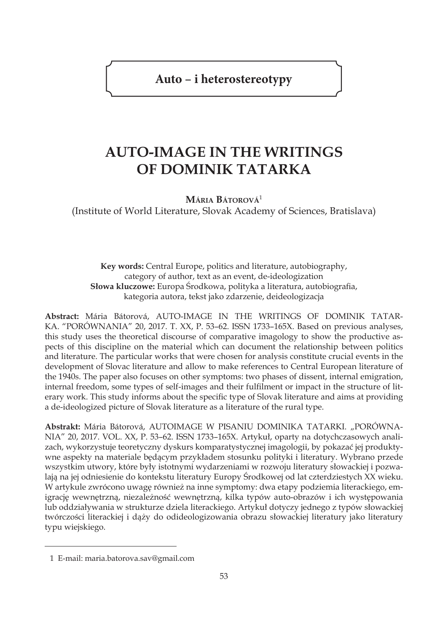**Auto – i heterostereotypy**

# **AUTO-IMAGE IN THE WRITINGS OF DOMINIK TATARKA**

**Mária Bátorová**<sup>1</sup>

(Institute of World Literature, Slovak Academy of Sciences, Bratislava)

**Key words:** Central Europe, politics and literature, autobiography, category of author, text as an event, de-ideologization **Słowa kluczowe:** Europa Środkowa, polityka a literatura, autobiografia, kategoria autora, tekst jako zdarzenie, deideologizacja

**Abstract:** Mária Bátorová, AUTO-IMAGE IN THE WRITINGS OF DOMINIK TATAR-KA. "PORÓWNANIA" 20, 2017. T. XX, P. 53–62. ISSN 1733–165X. Based on previous analyses, this study uses the theoretical discourse of comparative imagology to show the productive aspects of this discipline on the material which can document the relationship between politics and literature. The particular works that were chosen for analysis constitute crucial events in the development of Slovac literature and allow to make references to Central European literature of the 1940s. The paper also focuses on other symptoms: two phases of dissent, internal emigration, internal freedom, some types of self-images and their fulfilment or impact in the structure of literary work. This study informs about the specific type of Slovak literature and aims at providing a de-ideologized picture of Slovak literature as a literature of the rural type.

**Abstrakt:** Mária Bátorová, AUTOIMAGE W PISANIU DOMINIKA TATARKI. "PORÓWNA-NIA" 20, 2017. VOL. XX, P. 53–62. ISSN 1733–165X. Artykuł, oparty na dotychczasowych analizach, wykorzystuje teoretyczny dyskurs komparatystycznej imagologii, by pokazać jej produktywne aspekty na materiale będącym przykładem stosunku polityki i literatury. Wybrano przede wszystkim utwory, które były istotnymi wydarzeniami w rozwoju literatury słowackiej i pozwalają na jej odniesienie do kontekstu literatury Europy Środkowej od lat czterdziestych XX wieku. W artykule zwrócono uwagę również na inne symptomy: dwa etapy podziemia literackiego, emigrację wewnętrzną, niezależność wewnętrzną, kilka typów auto-obrazów i ich występowania lub oddziaływania w strukturze dziela literackiego. Artykuł dotyczy jednego z typów słowackiej twórczości literackiej i dąży do odideologizowania obrazu słowackiej literatury jako literatury typu wiejskiego.

<sup>1</sup> E-mail: maria.batorova.sav@gmail.com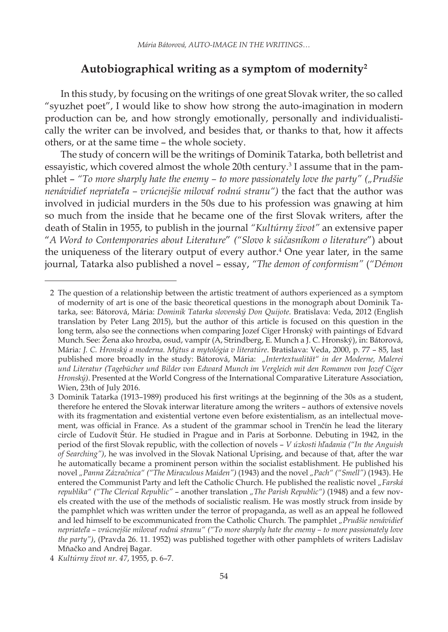## **Autobiographical writing as a symptom of modernity<sup>2</sup>**

In this study, by focusing on the writings of one great Slovak writer, the so called "syuzhet poet", I would like to show how strong the auto-imagination in modern production can be, and how strongly emotionally, personally and individualistically the writer can be involved, and besides that, or thanks to that, how it affects others, or at the same time – the whole society.

The study of concern will be the writings of Dominik Tatarka, both belletrist and essayistic, which covered almost the whole 20th century.<sup>3</sup> I assume that in the pamphlet – "To more sharply hate the enemy – to more passionately love the party" ("Prudšie *nenávidieť nepriateľa – vrúcnejšie milovať rodnú stranu")* the fact that the author was involved in judicial murders in the 50s due to his profession was gnawing at him so much from the inside that he became one of the first Slovak writers, after the death of Stalin in 1955, to publish in the journal *"Kultúrny život"* an extensive paper "*A Word to Contemporaries about Literature*" *("Slovo k súčasníkom o literature*") about the uniqueness of the literary output of every author.<sup>4</sup> One year later, in the same journal, Tatarka also published a novel – essay, *"The demon of conformism"* (*"Démon* 

<sup>2</sup> The question of a relationship between the artistic treatment of authors experienced as a symptom of modernity of art is one of the basic theoretical questions in the monograph about Dominik Tatarka, see: Bátorová, Mária: *Dominik Tatarka slovenský Don Quijote*. Bratislava: Veda, 2012 (English translation by Peter Lang 2015), but the author of this article is focused on this question in the long term, also see the connections when comparing Jozef Cíger Hronský with paintings of Edvard Munch. See: Žena ako hrozba, osud, vampír (A, Strindberg, E. Munch a J. C. Hronský), in: Bátorová, Mária*: J. C. Hronský a moderna. Mýtus a mytológia v literatúre*. Bratislava: Veda, 2000, p. 77 – 85, last published more broadly in the study: Bátorová, Mária: *"Intertextualität" in der Moderne, Malerei und Literatur (Tagebücher und Bilder von Edward Munch im Vergleich mit den Romanen von Jozef Cíger Hronský)*. Presented at the World Congress of the International Comparative Literature Association, Wien, 23th of July 2016.

<sup>3</sup> Dominik Tatarka (1913–1989) produced his first writings at the beginning of the 30s as a student, therefore he entered the Slovak interwar literature among the writers – authors of extensive novels with its fragmentation and existential vertone even before existentialism, as an intellectual movement, was official in France. As a student of the grammar school in Trenčín he lead the literary circle of Ľudovít Štúr. He studied in Prague and in Paris at Sorbonne. Debuting in 1942, in the period of the first Slovak republic, with the collection of novels – *V úzkosti hľadania ("In the Anguish of Searching")*, he was involved in the Slovak National Uprising, and because of that, after the war he automatically became a prominent person within the socialist establishment. He published his novel *"Panna Zázračnica" ("The Miraculous Maiden")* (1943) and the novel *"Pach" ("Smell")* (1943). He entered the Communist Party and left the Catholic Church. He published the realistic novel *"Farská republika" ("The Clerical Republic"* – another translation *"The Parish Republic")* (1948) and a few novels created with the use of the methods of socialistic realism. He was mostly struck from inside by the pamphlet which was written under the terror of propaganda, as well as an appeal he followed and led himself to be excommunicated from the Catholic Church. The pamphlet *"Prudšie nenávidieť nepriateľa – vrúcnejšie milovať rodnú stranu" ("To more sharply hate the enemy – to more passionately love the party")*, (Pravda 26. 11. 1952) was published together with other pamphlets of writers Ladislav Mňačko and Andrej Bagar.

<sup>4</sup> *Kultúrny život nr. 47*, 1955, p. 6–7.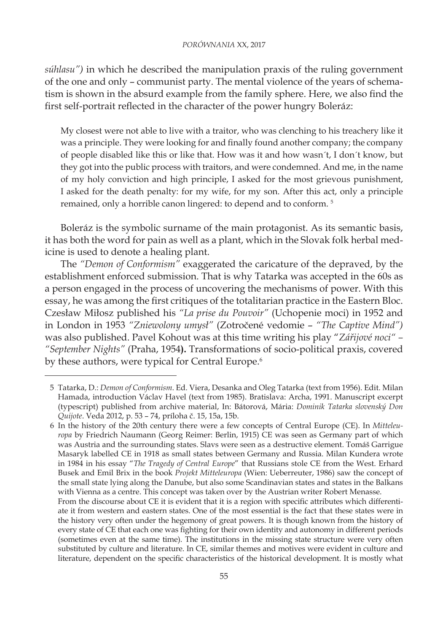*súhlasu")* in which he described the manipulation praxis of the ruling government of the one and only – communist party. The mental violence of the years of schematism is shown in the absurd example from the family sphere. Here, we also find the first self-portrait reflected in the character of the power hungry Boleráz:

My closest were not able to live with a traitor, who was clenching to his treachery like it was a principle. They were looking for and finally found another company; the company of people disabled like this or like that. How was it and how wasn´t, I don´t know, but they got into the public process with traitors, and were condemned. And me, in the name of my holy conviction and high principle, I asked for the most grievous punishment, I asked for the death penalty: for my wife, for my son. After this act, only a principle remained, only a horrible canon lingered: to depend and to conform. 5

Boleráz is the symbolic surname of the main protagonist. As its semantic basis, it has both the word for pain as well as a plant, which in the Slovak folk herbal medicine is used to denote a healing plant.

The *"Demon of Conformism"* exaggerated the caricature of the depraved, by the establishment enforced submission. That is why Tatarka was accepted in the 60s as a person engaged in the process of uncovering the mechanisms of power. With this essay, he was among the first critiques of the totalitarian practice in the Eastern Bloc. Czesław Miłosz published his *"La prise du Pouvoir"* (Uchopenie moci) in 1952 and in London in 1953 *"Zniewolony umysł"* (Zotročené vedomie – *"The Captive Mind")* was also published. Pavel Kohout was at this time writing his play "*Zářijové noci" – "September Nights"* (Praha, 1954**).** Transformations of socio-political praxis, covered by these authors, were typical for Central Europe.<sup>6</sup>

<sup>5</sup> Tatarka, D.: *Demon of Conformism*. Ed. Viera, Desanka and Oleg Tatarka (text from 1956). Edit. Milan Hamada, introduction Václav Havel (text from 1985). Bratislava: Archa, 1991. Manuscript excerpt (typescript) published from archive material, In: Bátorová, Mária: *Dominik Tatarka slovenský Don Quijote*. Veda 2012, p. 53 – 74, príloha č. 15, 15a, 15b.

<sup>6</sup> In the history of the 20th century there were a few concepts of Central Europe (CE). In *Mitteleuropa* by Friedrich Naumann (Georg Reimer: Berlin, 1915) CE was seen as Germany part of which was Austria and the surrounding states. Slavs were seen as a destructive element. Tomáš Garrigue Masaryk labelled CE in 1918 as small states between Germany and Russia. Milan Kundera wrote in 1984 in his essay "*The Tragedy of Central Europe*" that Russians stole CE from the West. Erhard Busek and Emil Brix in the book *Projekt Mitteleuropa* (Wien: Ueberreuter, 1986) saw the concept of the small state lying along the Danube, but also some Scandinavian states and states in the Balkans with Vienna as a centre. This concept was taken over by the Austrian writer Robert Menasse.

From the discourse about CE it is evident that it is a region with specific attributes which differentiate it from western and eastern states. One of the most essential is the fact that these states were in the history very often under the hegemony of great powers. It is though known from the history of every state of CE that each one was fighting for their own identity and autonomy in different periods (sometimes even at the same time). The institutions in the missing state structure were very often substituted by culture and literature. In CE, similar themes and motives were evident in culture and literature, dependent on the specific characteristics of the historical development. It is mostly what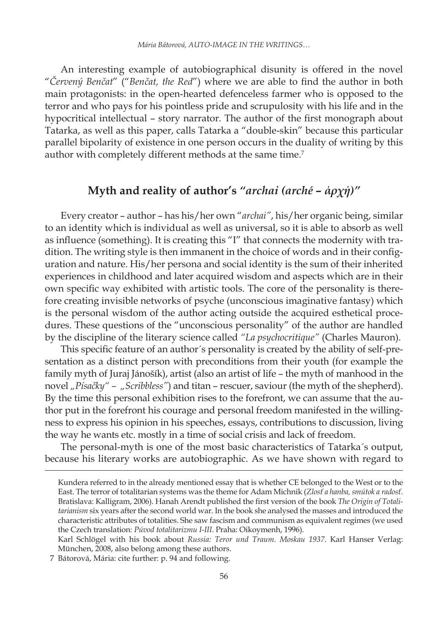An interesting example of autobiographical disunity is offered in the novel "*Červený Benčat*" ("*Benčat, the Red*") where we are able to find the author in both main protagonists: in the open-hearted defenceless farmer who is opposed to the terror and who pays for his pointless pride and scrupulosity with his life and in the hypocritical intellectual – story narrator. The author of the first monograph about Tatarka, as well as this paper, calls Tatarka a "double-skin" because this particular parallel bipolarity of existence in one person occurs in the duality of writing by this author with completely different methods at the same time.<sup>7</sup>

### **Myth and reality of author's** *"archai (arché – άρχή)"*

Every creator – author – has his/her own "*archai"*, his/her organic being, similar to an identity which is individual as well as universal, so it is able to absorb as well as influence (something). It is creating this "I" that connects the modernity with tradition. The writing style is then immanent in the choice of words and in their configuration and nature. His/her persona and social identity is the sum of their inherited experiences in childhood and later acquired wisdom and aspects which are in their own specific way exhibited with artistic tools. The core of the personality is therefore creating invisible networks of psyche (unconscious imaginative fantasy) which is the personal wisdom of the author acting outside the acquired esthetical procedures. These questions of the "unconscious personality" of the author are handled by the discipline of the literary science called *"La psychocritique"* (Charles Mauron).

This specific feature of an author´s personality is created by the ability of self-presentation as a distinct person with preconditions from their youth (for example the family myth of Juraj Jánošík), artist (also an artist of life – the myth of manhood in the novel *"Písačky" – "Scribbless"*) and titan – rescuer, saviour (the myth of the shepherd). By the time this personal exhibition rises to the forefront, we can assume that the author put in the forefront his courage and personal freedom manifested in the willingness to express his opinion in his speeches, essays, contributions to discussion, living the way he wants etc. mostly in a time of social crisis and lack of freedom.

The personal-myth is one of the most basic characteristics of Tatarka´s output, because his literary works are autobiographic. As we have shown with regard to

Kundera referred to in the already mentioned essay that is whether CE belonged to the West or to the East. The terror of totalitarian systems was the theme for Adam Michnik (*Zlosť a hanba, smútok a radosť*. Bratislava: Kalligram, 2006). Hanah Arendt published the first version of the book *The Origin of Totalitarianism* six years after the second world war. In the book she analysed the masses and introduced the characteristic attributes of totalities. She saw fascism and communism as equivalent regimes (we used the Czech translation: *Púvod totalitarizmu I-III*. Praha: Oikoymenh, 1996).

Karl Schlögel with his book about *Russia: Teror und Traum. Moskau 1937*. Karl Hanser Verlag: München, 2008, also belong among these authors.

<sup>7</sup> Bátorová, Mária: cite further: p. 94 and following.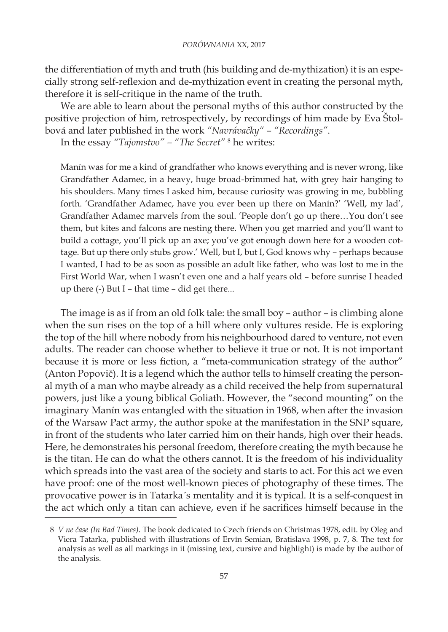the differentiation of myth and truth (his building and de-mythization) it is an especially strong self-reflexion and de-mythization event in creating the personal myth, therefore it is self-critique in the name of the truth.

We are able to learn about the personal myths of this author constructed by the positive projection of him, retrospectively, by recordings of him made by Eva Štolbová and later published in the work *"Navrávačky" – "Recordings"*.

In the essay *"Tajomstvo" – "The Secret"* <sup>8</sup> he writes:

Manín was for me a kind of grandfather who knows everything and is never wrong, like Grandfather Adamec, in a heavy, huge broad-brimmed hat, with grey hair hanging to his shoulders. Many times I asked him, because curiosity was growing in me, bubbling forth. 'Grandfather Adamec, have you ever been up there on Manín?' 'Well, my lad', Grandfather Adamec marvels from the soul. 'People don't go up there…You don't see them, but kites and falcons are nesting there. When you get married and you'll want to build a cottage, you'll pick up an axe; you've got enough down here for a wooden cottage. But up there only stubs grow.' Well, but I, but I, God knows why – perhaps because I wanted, I had to be as soon as possible an adult like father, who was lost to me in the First World War, when I wasn't even one and a half years old – before sunrise I headed up there (-) But I – that time – did get there...

The image is as if from an old folk tale: the small boy – author – is climbing alone when the sun rises on the top of a hill where only vultures reside. He is exploring the top of the hill where nobody from his neighbourhood dared to venture, not even adults. The reader can choose whether to believe it true or not. It is not important because it is more or less fiction, a "meta-communication strategy of the author" (Anton Popovič). It is a legend which the author tells to himself creating the personal myth of a man who maybe already as a child received the help from supernatural powers, just like a young biblical Goliath. However, the "second mounting" on the imaginary Manín was entangled with the situation in 1968, when after the invasion of the Warsaw Pact army, the author spoke at the manifestation in the SNP square, in front of the students who later carried him on their hands, high over their heads. Here, he demonstrates his personal freedom, therefore creating the myth because he is the titan. He can do what the others cannot. It is the freedom of his individuality which spreads into the vast area of the society and starts to act. For this act we even have proof: one of the most well-known pieces of photography of these times. The provocative power is in Tatarka´s mentality and it is typical. It is a self-conquest in the act which only a titan can achieve, even if he sacrifices himself because in the

<sup>8</sup> *V ne čase (In Bad Times)*. The book dedicated to Czech friends on Christmas 1978, edit. by Oleg and Viera Tatarka, published with illustrations of Ervín Semian, Bratislava 1998, p. 7, 8. The text for analysis as well as all markings in it (missing text, cursive and highlight) is made by the author of the analysis.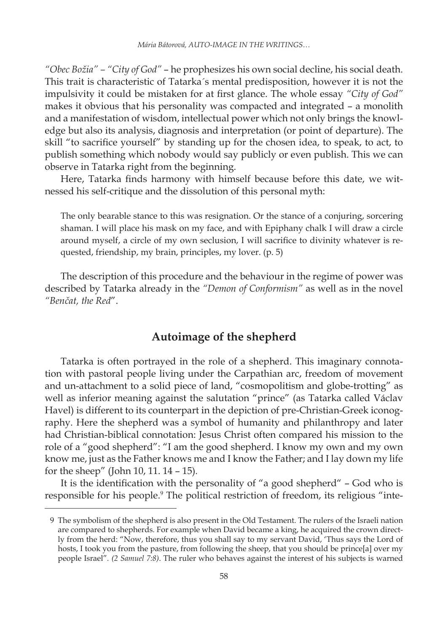*"Obec Božia" – "City of God"* – he prophesizes his own social decline, his social death. This trait is characteristic of Tatarka´s mental predisposition, however it is not the impulsivity it could be mistaken for at first glance. The whole essay *"City of God"* makes it obvious that his personality was compacted and integrated – a monolith and a manifestation of wisdom, intellectual power which not only brings the knowledge but also its analysis, diagnosis and interpretation (or point of departure). The skill "to sacrifice yourself" by standing up for the chosen idea, to speak, to act, to publish something which nobody would say publicly or even publish. This we can observe in Tatarka right from the beginning.

Here, Tatarka finds harmony with himself because before this date, we witnessed his self-critique and the dissolution of this personal myth:

The only bearable stance to this was resignation. Or the stance of a conjuring, sorcering shaman. I will place his mask on my face, and with Epiphany chalk I will draw a circle around myself, a circle of my own seclusion, I will sacrifice to divinity whatever is requested, friendship, my brain, principles, my lover. (p. 5)

The description of this procedure and the behaviour in the regime of power was described by Tatarka already in the *"Demon of Conformism"* as well as in the novel *"Benčat, the Red*".

## **Autoimage of the shepherd**

Tatarka is often portrayed in the role of a shepherd. This imaginary connotation with pastoral people living under the Carpathian arc, freedom of movement and un-attachment to a solid piece of land, "cosmopolitism and globe-trotting" as well as inferior meaning against the salutation "prince" (as Tatarka called Václav Havel) is different to its counterpart in the depiction of pre-Christian-Greek iconography. Here the shepherd was a symbol of humanity and philanthropy and later had Christian-biblical connotation: Jesus Christ often compared his mission to the role of a "good shepherd": "I am the good shepherd. I know my own and my own know me, just as the Father knows me and I know the Father; and I lay down my life for the sheep" (John 10, 11. 14 – 15)*.*

It is the identification with the personality of "a good shepherd" – God who is responsible for his people.<sup>9</sup> The political restriction of freedom, its religious "inte-

<sup>9</sup> The symbolism of the shepherd is also present in the Old Testament. The rulers of the Israeli nation are compared to shepherds. For example when David became a king, he acquired the crown directly from the herd: "Now, therefore, thus you shall say to my servant David, 'Thus says the Lord of hosts, I took you from the pasture, from following the sheep, that you should be prince[a] over my people Israel"*. (2 Samuel 7:8)*. The ruler who behaves against the interest of his subjects is warned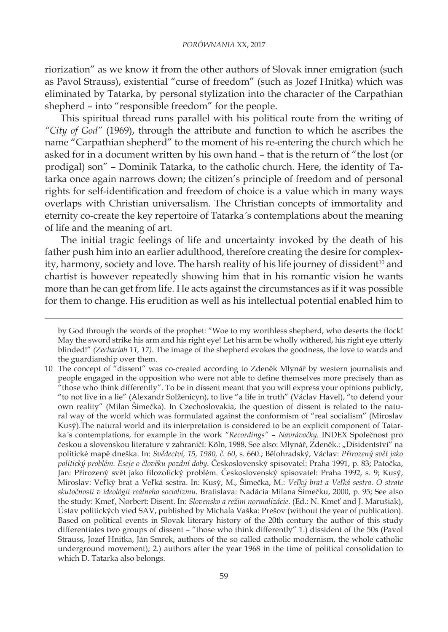riorization" as we know it from the other authors of Slovak inner emigration (such as Pavol Strauss), existential "curse of freedom" (such as Jozef Hnitka) which was eliminated by Tatarka, by personal stylization into the character of the Carpathian shepherd – into "responsible freedom" for the people.

This spiritual thread runs parallel with his political route from the writing of *"City of God"* (1969), through the attribute and function to which he ascribes the name "Carpathian shepherd" to the moment of his re-entering the church which he asked for in a document written by his own hand – that is the return of "the lost (or prodigal) son" – Dominik Tatarka, to the catholic church. Here, the identity of Tatarka once again narrows down; the citizen's principle of freedom and of personal rights for self-identification and freedom of choice is a value which in many ways overlaps with Christian universalism. The Christian concepts of immortality and eternity co-create the key repertoire of Tatarka´s contemplations about the meaning of life and the meaning of art.

The initial tragic feelings of life and uncertainty invoked by the death of his father push him into an earlier adulthood, therefore creating the desire for complexity, harmony, society and love. The harsh reality of his life journey of dissident<sup>10</sup> and chartist is however repeatedly showing him that in his romantic vision he wants more than he can get from life. He acts against the circumstances as if it was possible for them to change. His erudition as well as his intellectual potential enabled him to

by God through the words of the prophet: "Woe to my worthless shepherd, who deserts the flock! May the sword strike his arm and his right eye! Let his arm be wholly withered, his right eye utterly blinded!" *(Zechariah 11, 17)*. The image of the shepherd evokes the goodness, the love to wards and the guardianship over them.

<sup>10</sup> The concept of "dissent" was co-created according to Zdeněk Mlynář by western journalists and people engaged in the opposition who were not able to define themselves more precisely than as "those who think differently". To be in dissent meant that you will express your opinions publicly, "to not live in a lie" (Alexandr Solženicyn), to live "a life in truth" (Václav Havel), "to defend your own reality" (Milan Šimečka). In Czechoslovakia, the question of dissent is related to the natural way of the world which was formulated against the conformism of "real socialism" (Miroslav Kusý).The natural world and its interpretation is considered to be an explicit component of Tatarka´s contemplations, for example in the work *"Recordings"* – *Navrávačky.* INDEX Společnost pro českou a slovenskou literature v zahraničí: Köln, 1988. See also: Mlynář, Zdeněk.: "Disidentství" na politické mapě dneška. In: *Svědectví, 15, 1980, č. 60*, s. 660.; Bělohradský, Václav: *Přirozený svět jako politický problém. Eseje o člověku pozdní doby*. Československý spisovatel: Praha 1991, p. 83; Patočka, Jan: Přirozený svět jako filozofický problém. Československý spisovatel: Praha 1992, s. 9; Kusý, Miroslav: Veľký brat a Veľká sestra. In: Kusý, M., Šimečka, M.: *Veľký brat a Veľká sestra. O strate skutočnosti v ideológii reálneho socializmu*. Bratislava: Nadácia Milana Šimečku, 2000, p. 95; See also the study: Kmeť, Norbert: Disent. In: *Slovensko a režim normalizácie*. (Ed.: N. Kmeť and J. Marušiak), Ústav politických vied SAV, published by Michala Vaška: Prešov (without the year of publication). Based on political events in Slovak literary history of the 20th century the author of this study differentiates two groups of dissent – "those who think differently" 1.) dissident of the 50s (Pavol Strauss, Jozef Hnitka, Ján Smrek, authors of the so called catholic modernism, the whole catholic underground movement); 2.) authors after the year 1968 in the time of political consolidation to which D. Tatarka also belongs.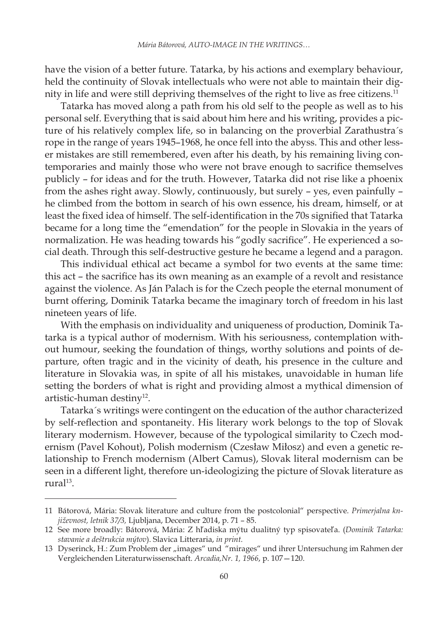have the vision of a better future. Tatarka, by his actions and exemplary behaviour, held the continuity of Slovak intellectuals who were not able to maintain their dignity in life and were still depriving themselves of the right to live as free citizens.<sup>11</sup>

Tatarka has moved along a path from his old self to the people as well as to his personal self. Everything that is said about him here and his writing, provides a picture of his relatively complex life, so in balancing on the proverbial Zarathustra´s rope in the range of years 1945–1968, he once fell into the abyss. This and other lesser mistakes are still remembered, even after his death, by his remaining living contemporaries and mainly those who were not brave enough to sacrifice themselves publicly – for ideas and for the truth. However, Tatarka did not rise like a phoenix from the ashes right away. Slowly, continuously, but surely – yes, even painfully – he climbed from the bottom in search of his own essence, his dream, himself, or at least the fixed idea of himself. The self-identification in the 70s signified that Tatarka became for a long time the "emendation" for the people in Slovakia in the years of normalization. He was heading towards his "godly sacrifice". He experienced a social death. Through this self-destructive gesture he became a legend and a paragon.

This individual ethical act became a symbol for two events at the same time: this act – the sacrifice has its own meaning as an example of a revolt and resistance against the violence. As Ján Palach is for the Czech people the eternal monument of burnt offering, Dominik Tatarka became the imaginary torch of freedom in his last nineteen years of life.

With the emphasis on individuality and uniqueness of production, Dominik Tatarka is a typical author of modernism. With his seriousness, contemplation without humour, seeking the foundation of things, worthy solutions and points of departure, often tragic and in the vicinity of death, his presence in the culture and literature in Slovakia was, in spite of all his mistakes, unavoidable in human life setting the borders of what is right and providing almost a mythical dimension of artistic-human destiny $12$ .

Tatarka´s writings were contingent on the education of the author characterized by self-reflection and spontaneity. His literary work belongs to the top of Slovak literary modernism. However, because of the typological similarity to Czech modernism (Pavel Kohout), Polish modernism (Czesław Miłosz) and even a genetic relationship to French modernism (Albert Camus), Slovak literal modernism can be seen in a different light, therefore un-ideologizing the picture of Slovak literature as  $rural<sup>13</sup>$ .

<sup>11</sup> Bátorová, Mária: Slovak literature and culture from the postcolonial" perspective. *Primerjalna književnost, letnik 37/3,* Ljubljana, December 2014, p. 71 – 85.

<sup>12</sup> See more broadly: Bátorová, Mária: Z hľadiska mýtu dualitný typ spisovateľa. (*Dominik Tatarka: stavanie a deštrukcia mýtov*). Slavica Litteraria, *in print.*

<sup>13</sup> Dyserinck, H.: Zum Problem der "images" und "mirages" und ihrer Untersuchung im Rahmen der Vergleichenden Literaturwissenschaft. *Arcadia,Nr. 1, 1966*, p. 107—120.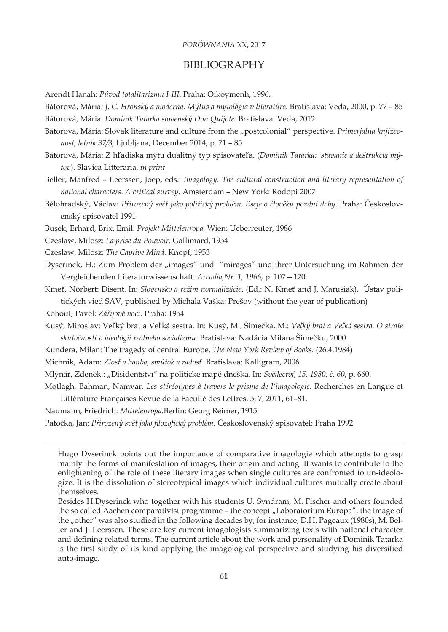#### *PORÓWNANIA* XX, 2017

#### BIBLIOGRAPHY

Arendt Hanah: *Púvod totalitarizmu I-III*. Praha: Oikoymenh, 1996.

Bátorová, Mária*: J. C. Hronský a moderna. Mýtus a mytológia v literatúre*. Bratislava: Veda, 2000, p. 77 – 85

Bátorová, Mária: *Dominik Tatarka slovenský Don Quijote*. Bratislava: Veda, 2012

- Bátorová, Mária: Slovak literature and culture from the "postcolonial" perspective. *Primerjalna književnost, letnik 37/3,* Ljubljana, December 2014, p. 71 – 85
- Bátorová, Mária: Z hľadiska mýtu dualitný typ spisovateľa. (*Dominik Tatarka: stavanie a deštrukcia mýtov*). Slavica Litteraria, *in print*
- Beller, Manfred Leerssen, Joep, eds.: *Imagology. The cultural construction and literary representation of national characters. A critical survey.* Amsterdam – New York: Rodopi 2007
- Bělohradský, Václav: *Přirozený svět jako politický problém. Eseje o člověku pozdní doby*. Praha: Československý spisovatel 1991

Busek, Erhard, Brix, Emil: *Projekt Mitteleuropa.* Wien: Ueberreuter, 1986

Czeslaw, Milosz: *La prise du Pouvoir.* Gallimard, 1954

Czeslaw, Milosz: *The Captive Mind*. Knopf, 1953

- Dyserinck, H.: Zum Problem der "images" und "mirages" und ihrer Untersuchung im Rahmen der Vergleichenden Literaturwissenschaft. *Arcadia,Nr. 1, 1966*, p. 107—120
- Kmeť, Norbert: Disent. In: *Slovensko a režim normalizácie*. (Ed.: N. Kmeť and J. Marušiak), Ústav politických vied SAV, published by Michala Vaška: Prešov (without the year of publication)

Kohout, Pavel: *Zářijové noci*. Praha: 1954

- Kusý, Miroslav: Veľký brat a Veľká sestra. In: Kusý, M., Šimečka, M.: *Veľký brat a Veľká sestra. O strate skutočnosti v ideológii reálneho socializmu*. Bratislava: Nadácia Milana Šimečku, 2000
- Kundera, Milan: The tragedy of central Europe. *The New York Review of Books*. (26.4.1984)

Michnik, Adam: *Zlosť a hanba, smútok a radosť*. Bratislava: Kalligram, 2006

- Mlynář, Zdeněk.: "Disidentství" na politické mapě dneška. In: *Svědectví, 15, 1980, č. 60*, p. 660.
- Motlagh, Bahman, Namvar. *Les stéréotypes à travers le prisme de l'imagologie*. Recherches en Langue et

Littérature Françaises Revue de la Faculté des Lettres, 5, 7, 2011, 61–81.

Naumann, Friedrich: *Mitteleuropa*.Berlin: Georg Reimer, 1915

Patočka, Jan: *Přirozený svět jako filozofický problém*. Československý spisovatel: Praha 1992

Hugo Dyserinck points out the importance of comparative imagologie which attempts to grasp mainly the forms of manifestation of images, their origin and acting. It wants to contribute to the enlightening of the role of these literary images when single cultures are confronted to un-ideologize. It is the dissolution of stereotypical images which individual cultures mutually create about themselves.

Besides H.Dyserinck who together with his students U. Syndram, M. Fischer and others founded the so called Aachen comparativist programme - the concept "Laboratorium Europa", the image of the "other" was also studied in the following decades by, for instance, D.H. Pageaux (1980s), M. Beller and J. Leerssen. These are key current imagologists summarizing texts with national character and defining related terms. The current article about the work and personality of Dominik Tatarka is the first study of its kind applying the imagological perspective and studying his diversified auto-image.